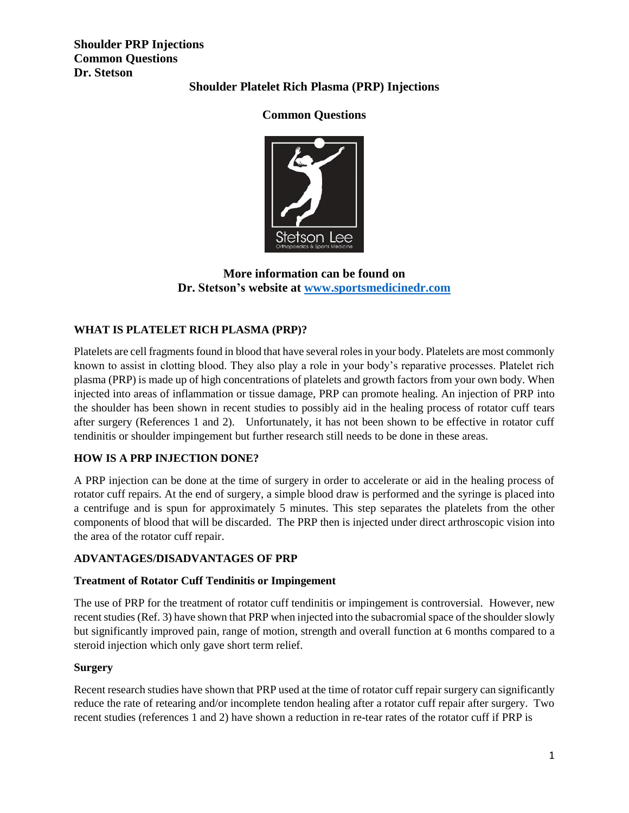**Shoulder PRP Injections Common Questions Dr. Stetson**

# **Shoulder Platelet Rich Plasma (PRP) Injections**

# **Common Questions**



# **More information can be found on Dr. Stetson's website at [www.sportsmedicinedr.com](http://www.sportsmedicinedr.com/)**

## **WHAT IS PLATELET RICH PLASMA (PRP)?**

Platelets are cell fragments found in blood that have several roles in your body. Platelets are most commonly known to assist in clotting blood. They also play a role in your body's reparative processes. Platelet rich plasma (PRP) is made up of high concentrations of platelets and growth factors from your own body. When injected into areas of inflammation or tissue damage, PRP can promote healing. An injection of PRP into the shoulder has been shown in recent studies to possibly aid in the healing process of rotator cuff tears after surgery (References 1 and 2). Unfortunately, it has not been shown to be effective in rotator cuff tendinitis or shoulder impingement but further research still needs to be done in these areas.

### **HOW IS A PRP INJECTION DONE?**

A PRP injection can be done at the time of surgery in order to accelerate or aid in the healing process of rotator cuff repairs. At the end of surgery, a simple blood draw is performed and the syringe is placed into a centrifuge and is spun for approximately 5 minutes. This step separates the platelets from the other components of blood that will be discarded. The PRP then is injected under direct arthroscopic vision into the area of the rotator cuff repair.

### **ADVANTAGES/DISADVANTAGES OF PRP**

#### **Treatment of Rotator Cuff Tendinitis or Impingement**

The use of PRP for the treatment of rotator cuff tendinitis or impingement is controversial. However, new recent studies (Ref. 3) have shown that PRP when injected into the subacromial space of the shoulder slowly but significantly improved pain, range of motion, strength and overall function at 6 months compared to a steroid injection which only gave short term relief.

#### **Surgery**

Recent research studies have shown that PRP used at the time of rotator cuff repair surgery can significantly reduce the rate of retearing and/or incomplete tendon healing after a rotator cuff repair after surgery. Two recent studies (references 1 and 2) have shown a reduction in re-tear rates of the rotator cuff if PRP is